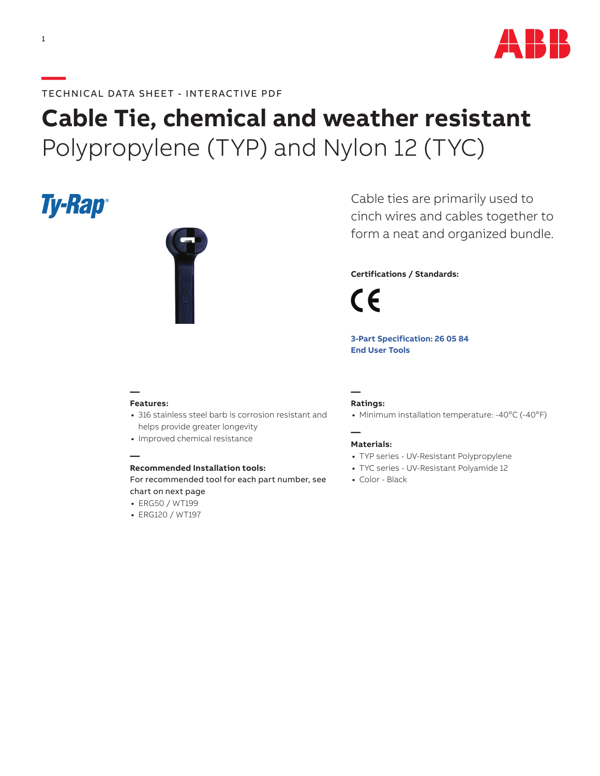

# **Cable Tie, chemical and weather resistant** Polypropylene (TYP) and Nylon 12 (TYC)

# **Ty-Rap**



Cable ties are primarily used to cinch wires and cables together to form a neat and organized bundle.

## **Certifications / Standards:**

C E

**[3-Part Specification: 2](http://www-public.tnb.com/ps/pubint/specguide.cgi)6 05 84 [End User Tools](http://tnb.abb.com/pub/en/node/258)**

#### **— Features:**

**—**

- **•** 316 stainless steel barb is corrosion resistant and helps provide greater longevity
- **•** Improved chemical resistance

### **Recommended Installation tools:**

For recommended tool for each part number, see chart on next page

- **•** ERG50 / WT199
- **•** ERG120 / WT197

#### **— Ratings:**

• Minimum installation temperature: -40°C (-40°F)

#### **— Materials:**

- **•** TYP series UV-Resistant Polypropylene
- **•** TYC series UV-Resistant Polyamide 12
- **•** Color Black